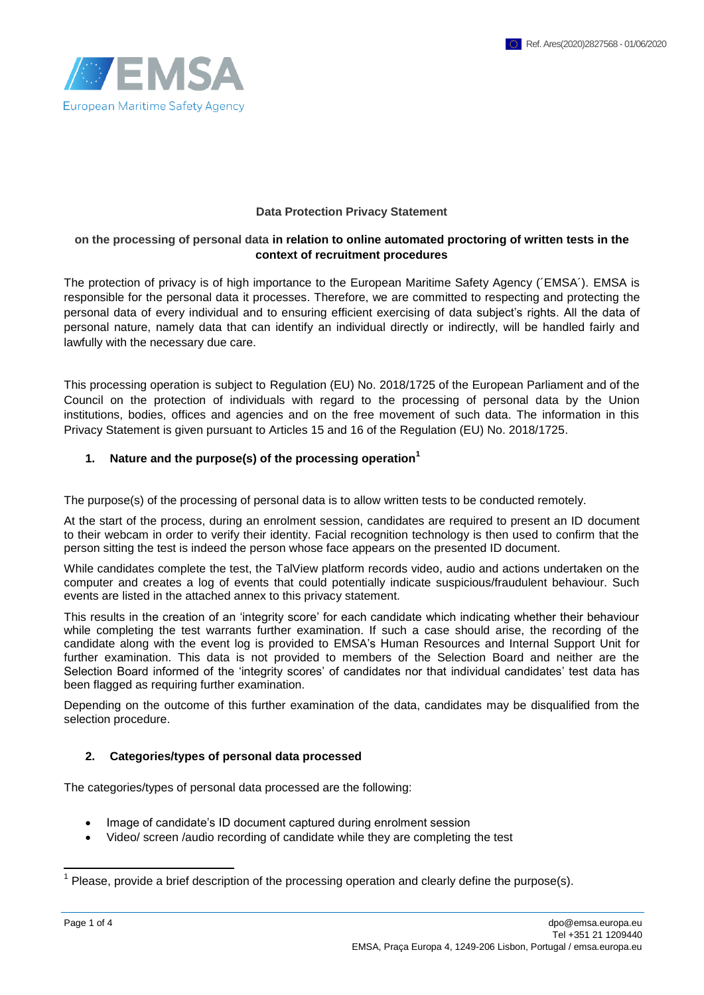

#### **Data Protection Privacy Statement**

### **on the processing of personal data in relation to online automated proctoring of written tests in the context of recruitment procedures**

The protection of privacy is of high importance to the European Maritime Safety Agency (´EMSA´). EMSA is responsible for the personal data it processes. Therefore, we are committed to respecting and protecting the personal data of every individual and to ensuring efficient exercising of data subject's rights. All the data of personal nature, namely data that can identify an individual directly or indirectly, will be handled fairly and lawfully with the necessary due care.

This processing operation is subject to Regulation (EU) No. 2018/1725 of the European Parliament and of the Council on the protection of individuals with regard to the processing of personal data by the Union institutions, bodies, offices and agencies and on the free movement of such data. The information in this Privacy Statement is given pursuant to Articles 15 and 16 of the Regulation (EU) No. 2018/1725.

#### **1. Nature and the purpose(s) of the processing operation<sup>1</sup>**

The purpose(s) of the processing of personal data is to allow written tests to be conducted remotely.

At the start of the process, during an enrolment session, candidates are required to present an ID document to their webcam in order to verify their identity. Facial recognition technology is then used to confirm that the person sitting the test is indeed the person whose face appears on the presented ID document.

While candidates complete the test, the TalView platform records video, audio and actions undertaken on the computer and creates a log of events that could potentially indicate suspicious/fraudulent behaviour. Such events are listed in the attached annex to this privacy statement.

This results in the creation of an 'integrity score' for each candidate which indicating whether their behaviour while completing the test warrants further examination. If such a case should arise, the recording of the candidate along with the event log is provided to EMSA's Human Resources and Internal Support Unit for further examination. This data is not provided to members of the Selection Board and neither are the Selection Board informed of the 'integrity scores' of candidates nor that individual candidates' test data has been flagged as requiring further examination.

Depending on the outcome of this further examination of the data, candidates may be disqualified from the selection procedure.

### **2. Categories/types of personal data processed**

The categories/types of personal data processed are the following:

- Image of candidate's ID document captured during enrolment session
- Video/ screen /audio recording of candidate while they are completing the test

<sup>————————————————————&</sup>lt;br><sup>1</sup> Please, provide a brief description of the processing operation and clearly define the purpose(s).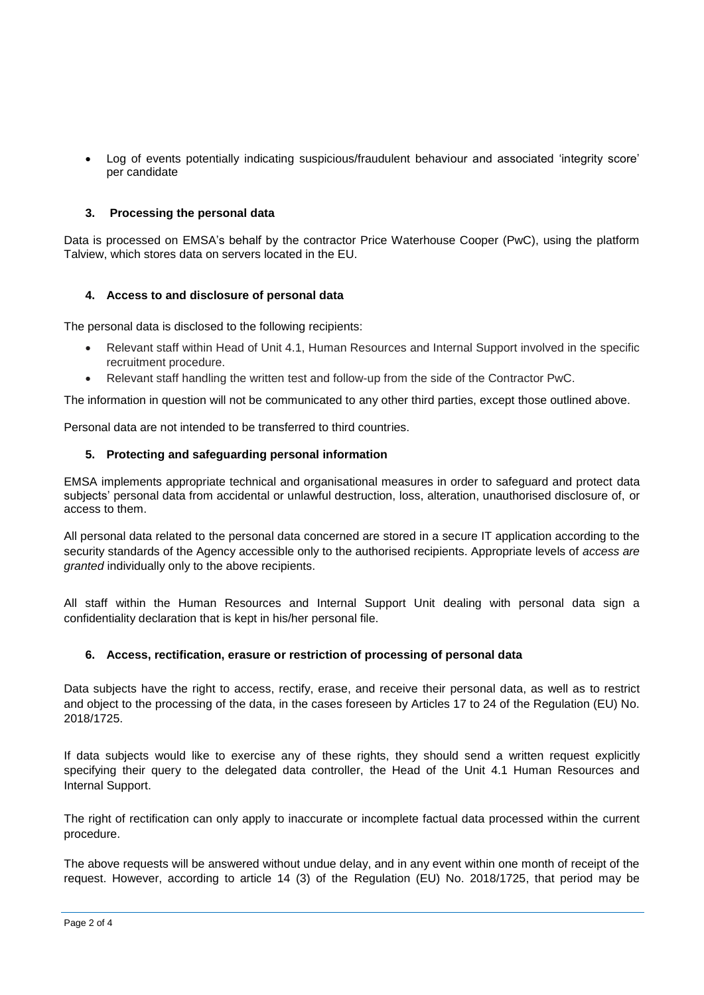Log of events potentially indicating suspicious/fraudulent behaviour and associated 'integrity score' per candidate

## **3. Processing the personal data**

Data is processed on EMSA's behalf by the contractor Price Waterhouse Cooper (PwC), using the platform Talview, which stores data on servers located in the EU.

### **4. Access to and disclosure of personal data**

The personal data is disclosed to the following recipients:

- Relevant staff within Head of Unit 4.1, Human Resources and Internal Support involved in the specific recruitment procedure.
- Relevant staff handling the written test and follow-up from the side of the Contractor PwC.

The information in question will not be communicated to any other third parties, except those outlined above.

Personal data are not intended to be transferred to third countries.

## **5. Protecting and safeguarding personal information**

EMSA implements appropriate technical and organisational measures in order to safeguard and protect data subjects' personal data from accidental or unlawful destruction, loss, alteration, unauthorised disclosure of, or access to them.

All personal data related to the personal data concerned are stored in a secure IT application according to the security standards of the Agency accessible only to the authorised recipients. Appropriate levels of *access are granted* individually only to the above recipients.

All staff within the Human Resources and Internal Support Unit dealing with personal data sign a confidentiality declaration that is kept in his/her personal file.

### **6. Access, rectification, erasure or restriction of processing of personal data**

Data subjects have the right to access, rectify, erase, and receive their personal data, as well as to restrict and object to the processing of the data, in the cases foreseen by Articles 17 to 24 of the Regulation (EU) No. 2018/1725.

If data subjects would like to exercise any of these rights, they should send a written request explicitly specifying their query to the delegated data controller, the Head of the Unit 4.1 Human Resources and Internal Support.

The right of rectification can only apply to inaccurate or incomplete factual data processed within the current procedure.

The above requests will be answered without undue delay, and in any event within one month of receipt of the request. However, according to article 14 (3) of the Regulation (EU) No. 2018/1725, that period may be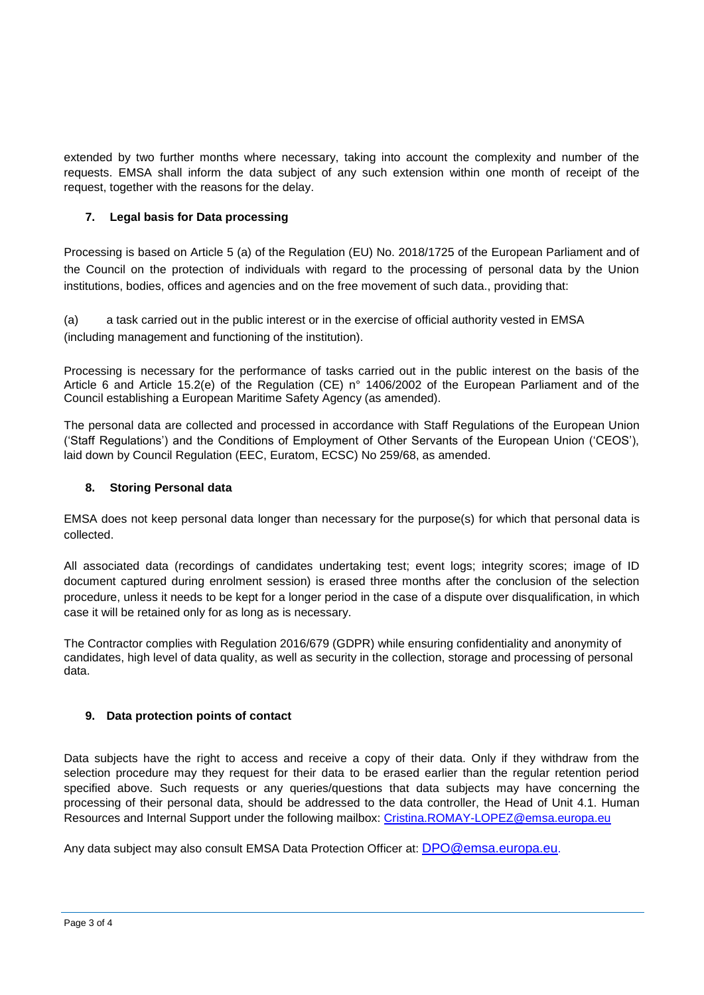extended by two further months where necessary, taking into account the complexity and number of the requests. EMSA shall inform the data subject of any such extension within one month of receipt of the request, together with the reasons for the delay.

# **7. Legal basis for Data processing**

Processing is based on Article 5 (a) of the Regulation (EU) No. 2018/1725 of the European Parliament and of the Council on the protection of individuals with regard to the processing of personal data by the Union institutions, bodies, offices and agencies and on the free movement of such data., providing that:

(a) a task carried out in the public interest or in the exercise of official authority vested in EMSA (including management and functioning of the institution).

Processing is necessary for the performance of tasks carried out in the public interest on the basis of the Article 6 and Article 15.2(e) of the Regulation (CE) n° 1406/2002 of the European Parliament and of the Council establishing a European Maritime Safety Agency (as amended).

The personal data are collected and processed in accordance with Staff Regulations of the European Union ('Staff Regulations') and the Conditions of Employment of Other Servants of the European Union ('CEOS'), laid down by Council Regulation (EEC, Euratom, ECSC) No 259/68, as amended.

# **8. Storing Personal data**

EMSA does not keep personal data longer than necessary for the purpose(s) for which that personal data is collected.

All associated data (recordings of candidates undertaking test; event logs; integrity scores; image of ID document captured during enrolment session) is erased three months after the conclusion of the selection procedure, unless it needs to be kept for a longer period in the case of a dispute over disqualification, in which case it will be retained only for as long as is necessary.

The Contractor complies with Regulation 2016/679 (GDPR) while ensuring confidentiality and anonymity of candidates, high level of data quality, as well as security in the collection, storage and processing of personal data.

# **9. Data protection points of contact**

Data subjects have the right to access and receive a copy of their data. Only if they withdraw from the selection procedure may they request for their data to be erased earlier than the regular retention period specified above. Such requests or any queries/questions that data subjects may have concerning the processing of their personal data, should be addressed to the data controller, the Head of Unit 4.1. Human Resources and Internal Support under the following mailbox: [Cristina.ROMAY-LOPEZ@emsa.europa.eu](mailto:Cristina.ROMAY-LOPEZ@emsa.europa.eu)

Any data subject may also consult EMSA Data Protection Officer at: [DPO@emsa.europa.eu](mailto:DPO@emsa.europa.eu).